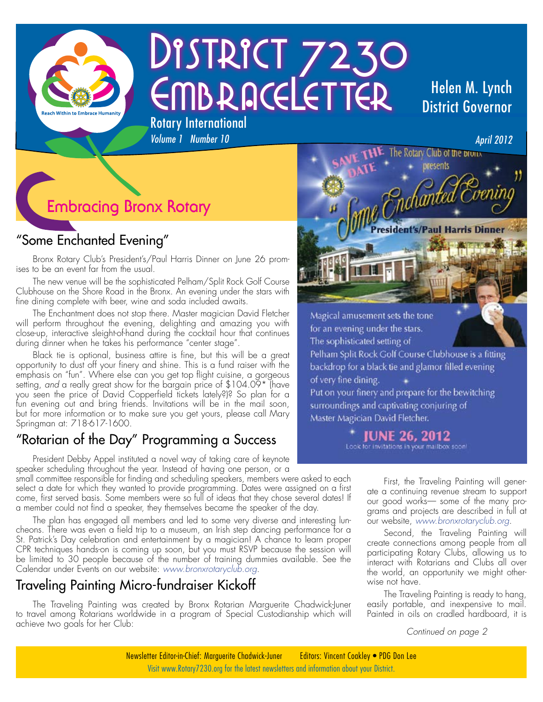

# DISTRICT 7230 EMBRACELETTER Rotary International

## Helen M. Lynch District Governor

## **Embracing Bronx Rotary**

## "Some Enchanted Evening"

Bronx Rotary Club's President's/Paul Harris Dinner on June 26 promises to be an event far from the usual.

*Volume 1 Number 10*

The new venue will be the sophisticated Pelham/Split Rock Golf Course Clubhouse on the Shore Road in the Bronx. An evening under the stars with fine dining complete with beer, wine and soda included awaits.

The Enchantment does not stop there. Master magician David Fletcher will perform throughout the evening, delighting and amazing you with close-up, interactive sleight-of-hand during the cocktail hour that continues during dinner when he takes his performance "center stage".

Black tie is optional, business attire is fine, but this will be a great opportunity to dust off your finery and shine. This is a fund raiser with the emphasis on "fun". Where else can you get top flight cuisine, a gorgeous setting, *and* a really great show for the bargain price of \$104.09\* (have you seen the price of David Copperfield tickets lately?)? So plan for a fun evening out and bring friends. Invitations will be in the mail soon, but for more information or to make sure you get yours, please call Mary Springman at: 718-617-1600.

### "Rotarian of the Day" Programming a Success

President Debby Appel instituted a novel way of taking care of keynote speaker scheduling throughout the year. Instead of having one person, or a

small committee responsible for finding and scheduling speakers, members were asked to each select a date for which they wanted to provide programming. Dates were assigned on a first come, first served basis. Some members were so full of ideas that they chose several dates! If a member could not find a speaker, they themselves became the speaker of the day.

The plan has engaged all members and led to some very diverse and interesting luncheons. There was even a field trip to a museum, an Irish step dancing performance for a St. Patrick's Day celebration and entertainment by a magician! A chance to learn proper CPR techniques hands-on is coming up soon, but you must RSVP because the session will be limited to 30 people because of the number of training dummies available. See the Calendar under Events on our website: *www.bronxrotaryclub.org*.

#### Traveling Painting Micro-fundraiser Kickoff

The Traveling Painting was created by Bronx Rotarian Marguerite Chadwick-Juner to travel among Rotarians worldwide in a program of Special Custodianship which will achieve two goals for her Club: *Continued on page 2*



The sophisticated setting of Pelham Split Rock Golf Course Clubhouse is a fitting backdrop for a black tie and glamor filled evening of very fine dining. Put on your finery and prepare for the bewitching surroundings and captivating conjuring of

Master Magician David Fletcher.

**IUNE 26, 2012** Look for invitations in your mailbox soon!

> First, the Traveling Painting will generate a continuing revenue stream to support our good works— some of the many programs and projects are described in full at our website, *www.bronxrotaryclub.org*.

> Second, the Traveling Painting will create connections among people from all participating Rotary Clubs, allowing us to interact with Rotarians and Clubs all over the world, an opportunity we might otherwise not have.

> The Traveling Painting is ready to hang, easily portable, and inexpensive to mail. Painted in oils on cradled hardboard, it is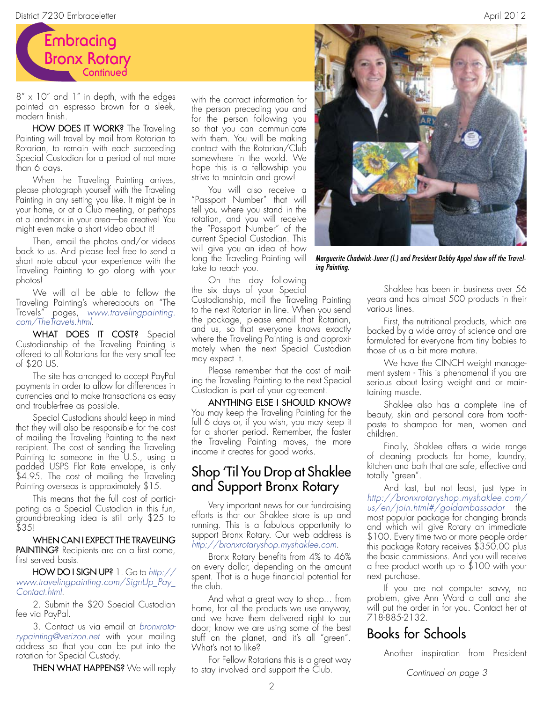

 $8'' \times 10''$  and 1" in depth, with the edges painted an espresso brown for a sleek, modern finish.

HOW DOES IT WORK? The Traveling Painting will travel by mail from Rotarian to Rotarian, to remain with each succeeding Special Custodian for a period of not more than 6 days.

When the Traveling Painting arrives, please photograph yourself with the Traveling Painting in any setting you like. It might be in your home, or at a Club meeting, or perhaps at a landmark in your area—be creative! You might even make a short video about it!

Then, email the photos and/or videos back to us. And please feel free to send a short note about your experience with the Traveling Painting to go along with your photos!

We will all be able to follow the Traveling Painting's whereabouts on "The Travels" pages, *www.travelingpainting. com/TheTravels.html*.

WHAT DOES IT COST? Special Custodianship of the Traveling Painting is offered to all Rotarians for the very small fee of \$20 US.

The site has arranged to accept PayPal payments in order to allow for differences in currencies and to make transactions as easy and trouble-free as possible.

Special Custodians should keep in mind that they will also be responsible for the cost of mailing the Traveling Painting to the next recipient. The cost of sending the Traveling Painting to someone in the U.S., using a padded USPS Flat Rate envelope, is only \$4.95. The cost of mailing the Traveling Painting overseas is approximately \$15.

This means that the full cost of participating as a Special Custodian in this fun, ground-breaking idea is still only \$25 to \$35!

WHEN CAN I EXPECT THE TRAVELING PAINTING? Recipients are on a first come, first served basis.

HOW DO I SIGN UP? 1. Go to *http:// www.travelingpainting.com/SignUp\_Pay\_ Contact.html*.

2. Submit the \$20 Special Custodian fee via PayPal.

3. Contact us via email at *bronxrotarypainting@verizon.net* with your mailing address so that you can be put into the rotation for Special Custody.

**THEN WHAT HAPPENS?** We will reply

with the contact information for the person preceding you and for the person following you so that you can communicate with them. You will be making contact with the Rotarian/Club somewhere in the world. We hope this is a fellowship you strive to maintain and grow!

You will also receive a "Passport Number" that will tell you where you stand in the rotation, and you will receive the "Passport Number" of the current Special Custodian. This will give you an idea of how long the Traveling Painting will take to reach you.

On the day following the six days of your Special

Custodianship, mail the Traveling Painting to the next Rotarian in line. When you send the package, please email that Rotarian, and us, so that everyone knows exactly where the Traveling Painting is and approximately when the next Special Custodian may expect it.

Please remember that the cost of mailing the Traveling Painting to the next Special Custodian is part of your agreement.

ANYTHING ELSE I SHOULD KNOW? You may keep the Traveling Painting for the full 6 days or, if you wish, you may keep it for a shorter period. Remember, the faster the Traveling Painting moves, the more income it creates for good works.

#### Shop 'Til You Drop at Shaklee and Support Bronx Rotary

Very important news for our fundraising efforts is that our Shaklee store is up and running. This is a fabulous opportunity to support Bronx Rotary. Our web address is *http://bronxrotaryshop.myshaklee.com*.

Bronx Rotary benefits from 4% to 46% on every dollar, depending on the amount spent. That is a huge financial potential for the club.

And what a great way to shop... from home, for all the products we use anyway, and we have them delivered right to our door; know we are using some of the best stuff on the planet, and it's all "green". What's not to like?

For Fellow Rotarians this is a great way to stay involved and support the Club.



*Marguerite Chadwick-Juner (l.) and President Debby Appel show off the Traveling Painting.*

Shaklee has been in business over 56 years and has almost 500 products in their various lines.

First, the nutritional products, which are backed by a wide array of science and are formulated for everyone from tiny babies to those of us a bit more mature.

We have the CINCH weight management system - This is phenomenal if you are serious about losing weight and or maintaining muscle.

Shaklee also has a complete line of beauty, skin and personal care from toothpaste to shampoo for men, women and children.

Finally, Shaklee offers a wide range of cleaning products for home, laundry, kitchen and bath that are safe, effective and totally "green".

And last, but not least, just type in *http://bronxrotaryshop.myshaklee.com/ us/en/join.html#/goldambassador* the most popular package for changing brands and which will give Rotary an immediate \$100. Every time two or more people order this package Rotary receives \$350.00 plus the basic commissions. And you will receive a free product worth up to \$100 with your next purchase.

If you are not computer savvy, no problem, give Ann Ward a call and she will put the order in for you. Contact her at 718-885-2132.

### Books for Schools

Another inspiration from President

*Continued on page 3*